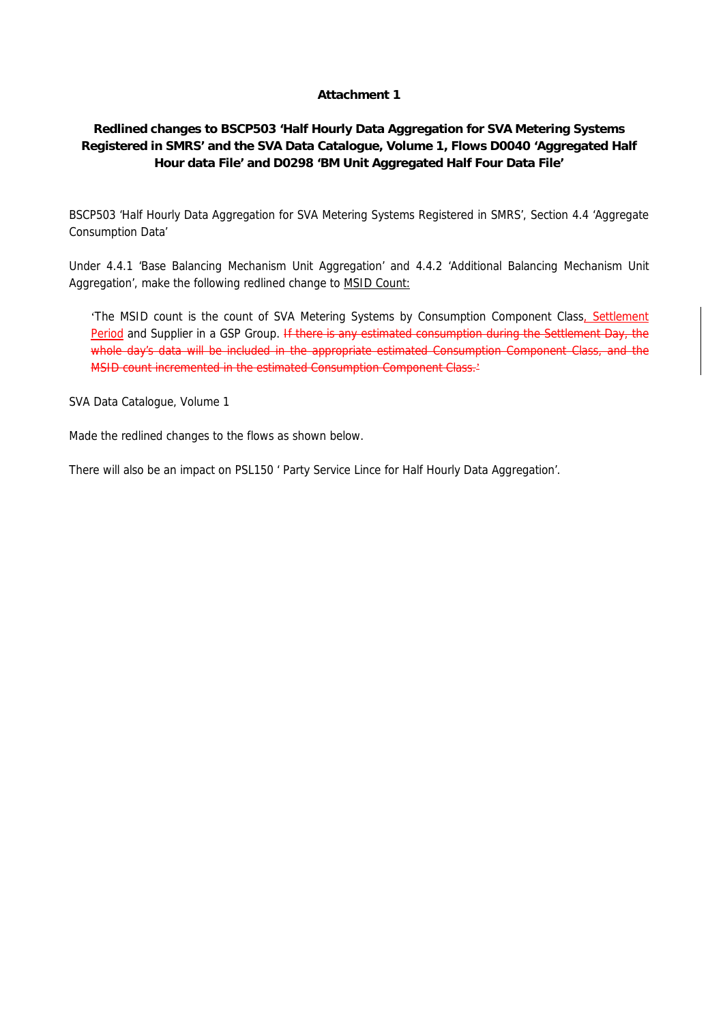### **Attachment 1**

### **Redlined changes to BSCP503 'Half Hourly Data Aggregation for SVA Metering Systems Registered in SMRS' and the SVA Data Catalogue, Volume 1, Flows D0040 'Aggregated Half Hour data File' and D0298 'BM Unit Aggregated Half Four Data File'**

BSCP503 'Half Hourly Data Aggregation for SVA Metering Systems Registered in SMRS', Section 4.4 'Aggregate Consumption Data'

Under 4.4.1 'Base Balancing Mechanism Unit Aggregation' and 4.4.2 'Additional Balancing Mechanism Unit Aggregation', make the following redlined change to MSID Count:

'The MSID count is the count of SVA Metering Systems by Consumption Component Class, Settlement Period and Supplier in a GSP Group. If there is any estimated consumption during the Settlement Day, the whole day's data will be included in the appropriate estimated Consumption Component Class, and the MSID count incremented in the estimated Consumption Component Class.<sup>2</sup>

SVA Data Catalogue, Volume 1

Made the redlined changes to the flows as shown below.

There will also be an impact on PSL150 ' Party Service Lince for Half Hourly Data Aggregation'.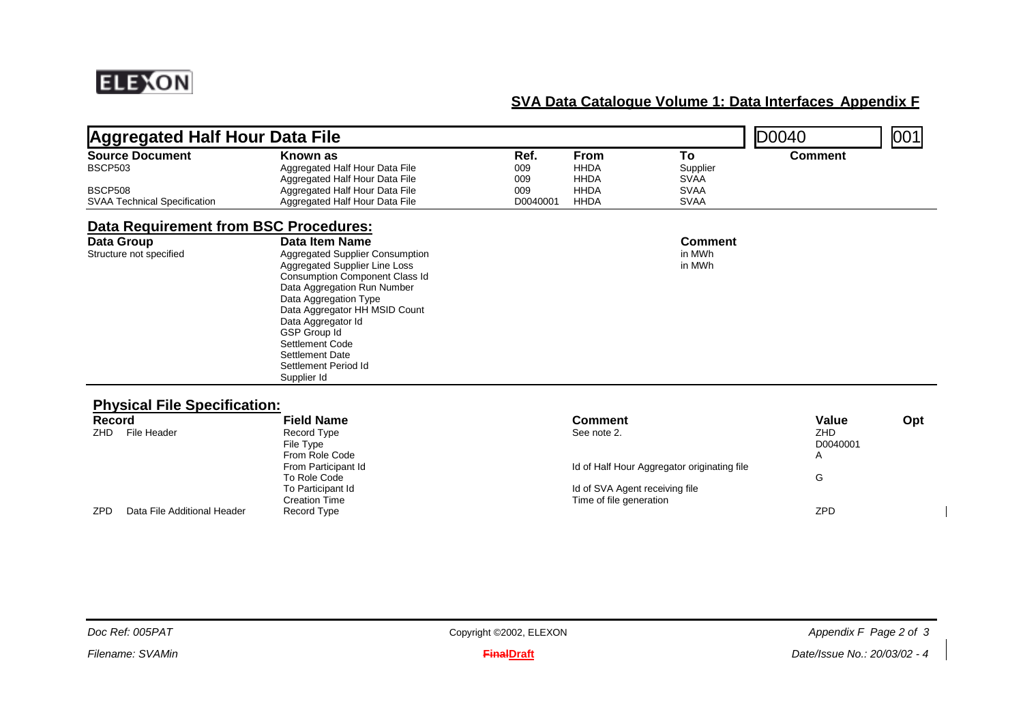

| <b>Aggregated Half Hour Data File</b>                 |                                                                                                                                                                                                                                                                                                                                                       |                    |                                    |                                             | D0040                                | 001 |
|-------------------------------------------------------|-------------------------------------------------------------------------------------------------------------------------------------------------------------------------------------------------------------------------------------------------------------------------------------------------------------------------------------------------------|--------------------|------------------------------------|---------------------------------------------|--------------------------------------|-----|
| <b>Source Document</b><br><b>BSCP503</b>              | Known as<br>Aggregated Half Hour Data File<br>Aggregated Half Hour Data File                                                                                                                                                                                                                                                                          | Ref.<br>009<br>009 | From<br><b>HHDA</b><br><b>HHDA</b> | To<br>Supplier<br><b>SVAA</b>               | <b>Comment</b>                       |     |
| <b>BSCP508</b><br><b>SVAA Technical Specification</b> | Aggregated Half Hour Data File<br>Aggregated Half Hour Data File                                                                                                                                                                                                                                                                                      | 009<br>D0040001    | <b>HHDA</b><br><b>HHDA</b>         | <b>SVAA</b><br><b>SVAA</b>                  |                                      |     |
| Data Requirement from BSC Procedures:                 |                                                                                                                                                                                                                                                                                                                                                       |                    |                                    |                                             |                                      |     |
| Data Group<br>Structure not specified                 | Data Item Name<br><b>Aggregated Supplier Consumption</b><br>Aggregated Supplier Line Loss<br><b>Consumption Component Class Id</b><br>Data Aggregation Run Number<br>Data Aggregation Type<br>Data Aggregator HH MSID Count<br>Data Aggregator Id<br>GSP Group Id<br>Settlement Code<br><b>Settlement Date</b><br>Settlement Period Id<br>Supplier Id |                    |                                    | <b>Comment</b><br>in MWh<br>in MWh          |                                      |     |
| <b>Physical File Specification:</b>                   |                                                                                                                                                                                                                                                                                                                                                       |                    |                                    |                                             |                                      |     |
| <b>Record</b><br>File Header<br>ZHD                   | <b>Field Name</b><br><b>Record Type</b><br>File Type<br>From Role Code                                                                                                                                                                                                                                                                                |                    | <b>Comment</b><br>See note 2.      |                                             | Value<br><b>ZHD</b><br>D0040001<br>A | Opt |
|                                                       | From Participant Id<br>To Role Code                                                                                                                                                                                                                                                                                                                   |                    |                                    | Id of Half Hour Aggregator originating file | G                                    |     |

ZPD Data File Additional Header Record Type ZPD

To Participant Id Id of SVA Agent receiving file Creation Time  $\hbox{C}$  and  $\hbox{C}$  and  $\hbox{C}$   $\hbox{C}$  and  $\hbox{C}$  and  $\hbox{C}$   $\hbox{C}$  and  $\hbox{C}$   $\hbox{C}$  and  $\hbox{C}$  and  $\hbox{C}$  and  $\hbox{C}$  and  $\hbox{C}$  and  $\hbox{C}$  and  $\hbox{C}$  and  $\hbox{C}$  and  $\hbox{C}$  and

Copyright ©2002, ELEXON **Appendix F** Page 2 of 3

*Filename: SVAMin*

*Doc Ref: 005PAT*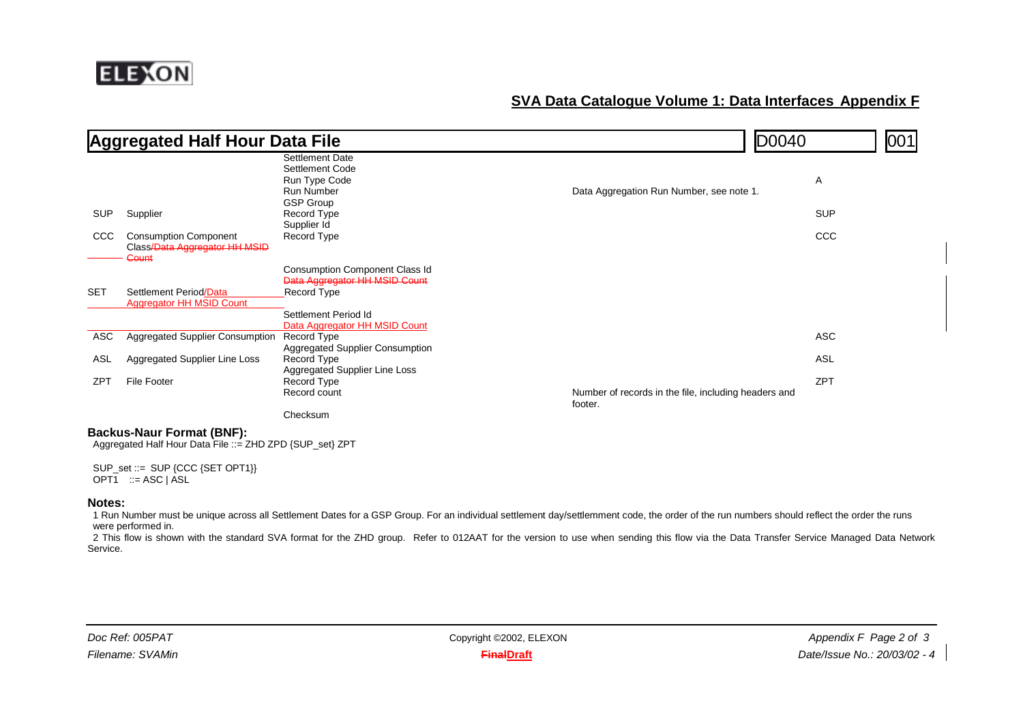

|            | <b>Aggregated Half Hour Data File</b>                                         |                                                                                        |                                                                 | D0040      | 001 |
|------------|-------------------------------------------------------------------------------|----------------------------------------------------------------------------------------|-----------------------------------------------------------------|------------|-----|
|            |                                                                               | Settlement Date<br>Settlement Code<br>Run Type Code<br><b>Run Number</b>               | Data Aggregation Run Number, see note 1.                        | Α          |     |
| <b>SUP</b> | Supplier                                                                      | <b>GSP Group</b><br>Record Type<br>Supplier Id                                         |                                                                 | <b>SUP</b> |     |
| <b>CCC</b> | <b>Consumption Component</b><br>Class/Data Aggregator HH MSID<br><b>Count</b> | Record Type                                                                            |                                                                 | <b>CCC</b> |     |
|            |                                                                               | <b>Consumption Component Class Id</b>                                                  |                                                                 |            |     |
| <b>SET</b> | Settlement Period/Data<br><b>Aggregator HH MSID Count</b>                     | Data Aggregator HH MSID Count<br>Record Type                                           |                                                                 |            |     |
|            |                                                                               | Settlement Period Id                                                                   |                                                                 |            |     |
| ASC        | <b>Aggregated Supplier Consumption</b>                                        | Data Aggregator HH MSID Count<br>Record Type<br><b>Aggregated Supplier Consumption</b> |                                                                 | <b>ASC</b> |     |
| ASL        | Aggregated Supplier Line Loss                                                 | Record Type<br>Aggregated Supplier Line Loss                                           |                                                                 | ASL        |     |
| <b>ZPT</b> | <b>File Footer</b>                                                            | Record Type<br>Record count                                                            | Number of records in the file, including headers and<br>footer. | <b>ZPT</b> |     |
|            |                                                                               | Checksum                                                                               |                                                                 |            |     |

#### **Backus-Naur Format (BNF):**

Aggregated Half Hour Data File ::= ZHD ZPD {SUP\_set} ZPT

SUP\_set ::= SUP {CCC {SET OPT1}} OPT $\overline{1}$  ::= ASC | ASL

#### **Notes:**

1 Run Number must be unique across all Settlement Dates for a GSP Group. For an individual settlement day/settlemment code, the order of the run numbers should reflect the order the runs were performed in.

2 This flow is shown with the standard SVA format for the ZHD group. Refer to 012AAT for the version to use when sending this flow via the Data Transfer Service Managed Data Network Service.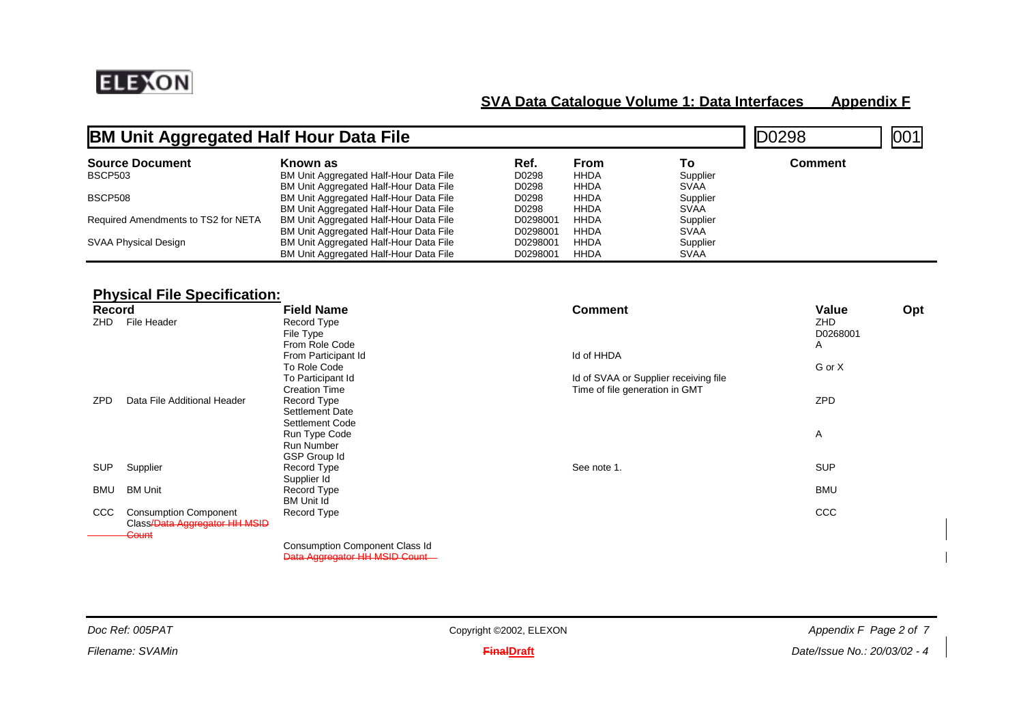

| <b>BM Unit Aggregated Half Hour Data File</b> |                                        |          |             |             | 00298   | 001 |
|-----------------------------------------------|----------------------------------------|----------|-------------|-------------|---------|-----|
| <b>Source Document</b>                        | Known as                               | Ref.     | From        | Т٥          | Comment |     |
| <b>BSCP503</b>                                | BM Unit Aggregated Half-Hour Data File | D0298    | <b>HHDA</b> | Supplier    |         |     |
|                                               | BM Unit Aggregated Half-Hour Data File | D0298    | HHDA        | <b>SVAA</b> |         |     |
| <b>BSCP508</b>                                | BM Unit Aggregated Half-Hour Data File | D0298    | HHDA        | Supplier    |         |     |
|                                               | BM Unit Aggregated Half-Hour Data File | D0298    | HHDA        | <b>SVAA</b> |         |     |
| Required Amendments to TS2 for NETA           | BM Unit Aggregated Half-Hour Data File | D0298001 | HHDA        | Supplier    |         |     |
|                                               | BM Unit Aggregated Half-Hour Data File | D0298001 | HHDA        | <b>SVAA</b> |         |     |
| SVAA Physical Design                          | BM Unit Aggregated Half-Hour Data File | D0298001 | HHDA        | Supplier    |         |     |
|                                               | BM Unit Aggregated Half-Hour Data File | D0298001 | HHDA        | <b>SVAA</b> |         |     |

## **Physical File Specification:**

| Record     |                                                                        | <b>Field Name</b>                                                       | <b>Comment</b>                                                          | Value                | Opt |
|------------|------------------------------------------------------------------------|-------------------------------------------------------------------------|-------------------------------------------------------------------------|----------------------|-----|
| ZHD        | File Header                                                            | Record Type<br>File Type<br>From Role Code                              |                                                                         | ZHD<br>D0268001<br>Α |     |
|            |                                                                        | From Participant Id<br>To Role Code                                     | Id of HHDA                                                              | G or X               |     |
| <b>ZPD</b> | Data File Additional Header                                            | To Participant Id<br><b>Creation Time</b><br>Record Type                | Id of SVAA or Supplier receiving file<br>Time of file generation in GMT | ZPD                  |     |
|            |                                                                        | Settlement Date<br>Settlement Code                                      |                                                                         |                      |     |
|            |                                                                        | Run Type Code<br>Run Number                                             |                                                                         | Α                    |     |
| <b>SUP</b> | Supplier                                                               | GSP Group Id<br>Record Type<br>Supplier Id                              | See note 1.                                                             | <b>SUP</b>           |     |
| BMU        | <b>BM Unit</b>                                                         | Record Type<br><b>BM Unit Id</b>                                        |                                                                         | <b>BMU</b>           |     |
| <b>CCC</b> | <b>Consumption Component</b><br>Class/Data Aggregator HH MSID<br>Count | Record Type                                                             |                                                                         | <b>CCC</b>           |     |
|            |                                                                        | <b>Consumption Component Class Id</b><br>Data Aggregator HH MSID Count- |                                                                         |                      |     |

*Doc Ref: 005PAT*

**FinalDraft** *Date/Issue No.: 20/03/02 - 4*